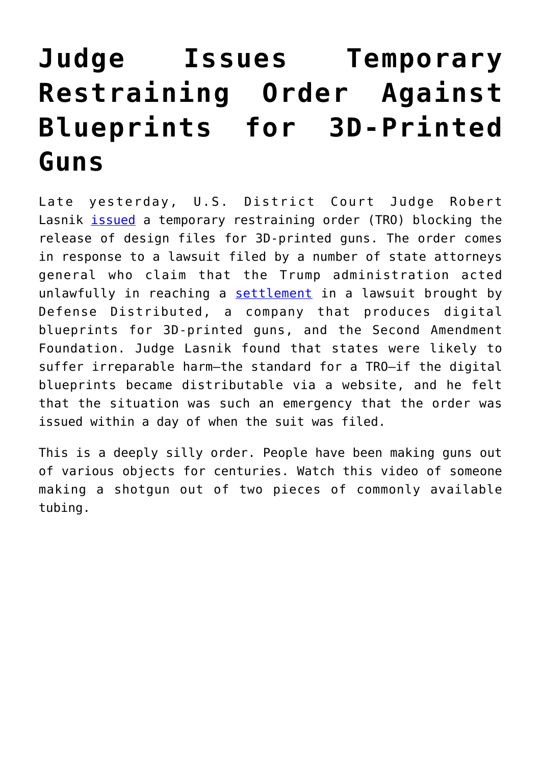## **[Judge Issues Temporary](https://intellectualtakeout.org/2018/08/judge-issues-temporary-restraining-order-against-blueprints-for-3d-printed-guns/) [Restraining Order Against](https://intellectualtakeout.org/2018/08/judge-issues-temporary-restraining-order-against-blueprints-for-3d-printed-guns/) [Blueprints for 3D-Printed](https://intellectualtakeout.org/2018/08/judge-issues-temporary-restraining-order-against-blueprints-for-3d-printed-guns/) [Guns](https://intellectualtakeout.org/2018/08/judge-issues-temporary-restraining-order-against-blueprints-for-3d-printed-guns/)**

Late yesterday, U.S. District Court Judge Robert Lasnik [issued](https://www.engadget.com/2018/07/31/3d-printed-gun-tro/) a temporary restraining order (TRO) blocking the release of design files for 3D-printed guns. The order comes in response to a lawsuit filed by a number of state attorneys general who claim that the Trump administration acted unlawfully in reaching a [settlement](http://www.foxnews.com/politics/2018/07/31/dems-lash-out-at-trump-over-3d-gun-decision-call-settlement-death-warrant.html) in a lawsuit brought by Defense Distributed, a company that produces digital blueprints for 3D-printed guns, and the Second Amendment Foundation. Judge Lasnik found that states were likely to suffer irreparable harm—the standard for a TRO—if the digital blueprints became distributable via a website, and he felt that the situation was such an emergency that the order was issued within a day of when the suit was filed.

This is a deeply silly order. People have been making guns out of various objects for centuries. Watch this video of someone making a shotgun out of two pieces of commonly available tubing.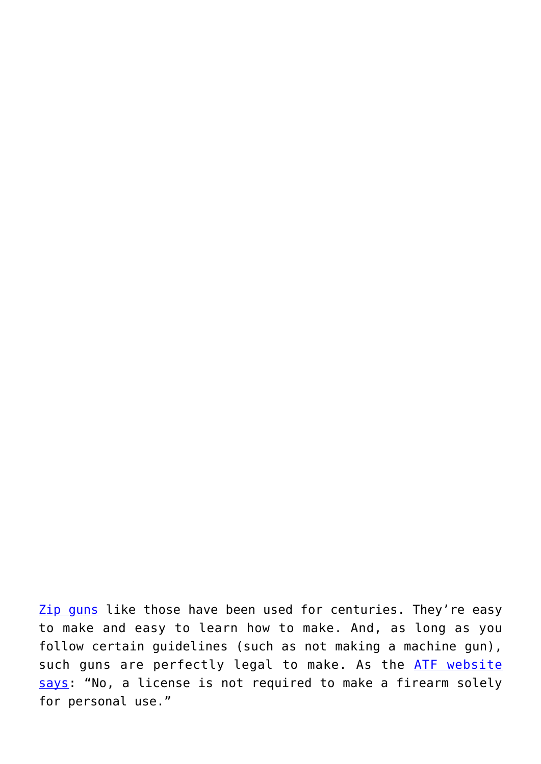[Zip guns](https://en.wikipedia.org/wiki/Improvised_firearm) like those have been used for centuries. They're easy to make and easy to learn how to make. And, as long as you follow certain guidelines (such as not making a machine gun), such guns are perfectly legal to make. As the [ATF website](https://www.atf.gov/firearms/qa/does-individual-need-license-make-firearm-personal-use) [says:](https://www.atf.gov/firearms/qa/does-individual-need-license-make-firearm-personal-use) "No, a license is not required to make a firearm solely for personal use."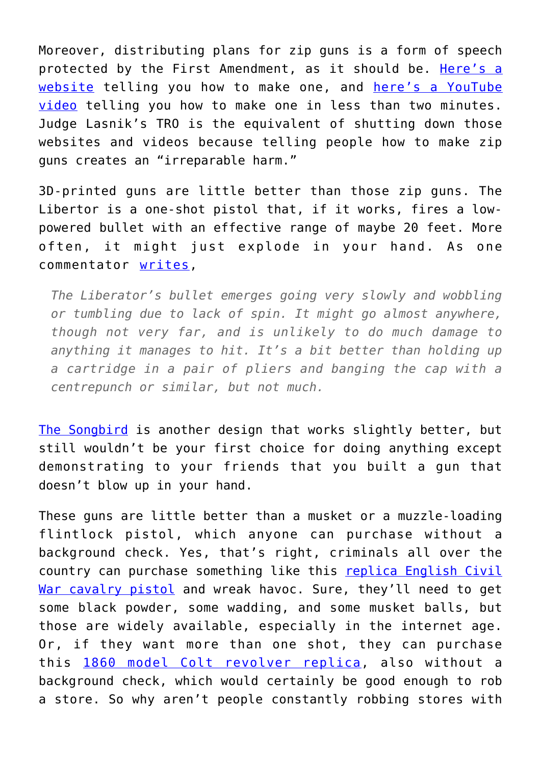Moreover, distributing plans for zip guns is a form of speech protected by the First Amendment, as it should be. [Here's a](https://www.wikihow.com/Make-a-Zip-Gun) [website](https://www.wikihow.com/Make-a-Zip-Gun) telling you how to make one, and [here's a YouTube](https://www.youtube.com/watch?v=q18BKcdy7Rk) [video](https://www.youtube.com/watch?v=q18BKcdy7Rk) telling you how to make one in less than two minutes. Judge Lasnik's TRO is the equivalent of shutting down those websites and videos because telling people how to make zip guns creates an "irreparable harm."

3D-printed guns are little better than those zip guns. The Libertor is a one-shot pistol that, if it works, fires a lowpowered bullet with an effective range of maybe 20 feet. More often, it might just explode in your hand. As one commentator [writes,](https://www.theregister.co.uk/2013/05/10/oh_no_its_the_plastic_3d_gun/)

*The Liberator's bullet emerges going very slowly and wobbling or tumbling due to lack of spin. It might go almost anywhere, though not very far, and is unlikely to do much damage to anything it manages to hit. It's a bit better than holding up a cartridge in a pair of pliers and banging the cap with a centrepunch or similar, but not much.*

[The Songbird](https://hackaday.com/2016/09/28/songbird-a-mostly-3d-printed-pistol-that-appears-to-actually-work/) is another design that works slightly better, but still wouldn't be your first choice for doing anything except demonstrating to your friends that you built a gun that doesn't blow up in your hand.

These guns are little better than a musket or a muzzle-loading flintlock pistol, which anyone can purchase without a background check. Yes, that's right, criminals all over the country can purchase something like this [replica English Civil](http://www.militaryheritage.com/pistol5.htm) [War cavalry pistol](http://www.militaryheritage.com/pistol5.htm) and wreak havoc. Sure, they'll need to get some black powder, some wadding, and some musket balls, but those are widely available, especially in the internet age. Or, if they want more than one shot, they can purchase this [1860 model Colt revolver replica,](https://www.cabelas.com/product/Pietta-Model-Army-Caliber-Black-Powder-Revolver/705022.uts) also without a background check, which would certainly be good enough to rob a store. So why aren't people constantly robbing stores with